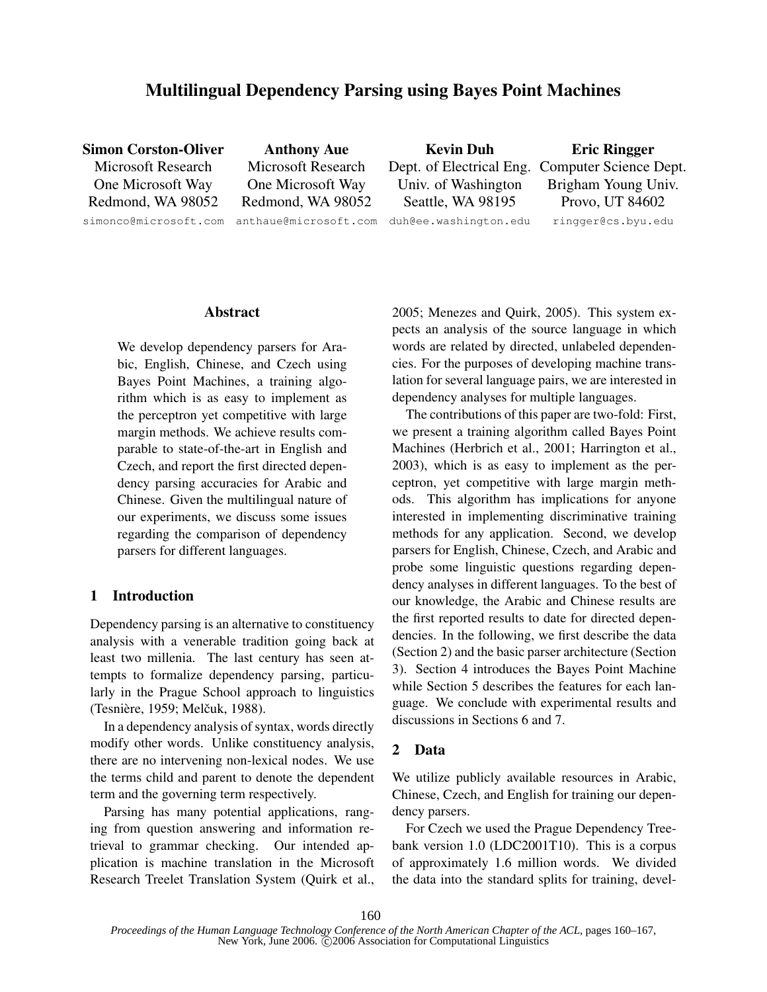# Multilingual Dependency Parsing using Bayes Point Machines

Simon Corston-Oliver Microsoft Research One Microsoft Way Redmond, WA 98052 simonco@microsoft.com

Anthony Aue Microsoft Research One Microsoft Way Redmond, WA 98052 anthaue@microsoft.com

Kevin Duh Dept. of Electrical Eng. Computer Science Dept. Univ. of Washington Seattle, WA 98195 duh@ee.washington.edu

Eric Ringger Brigham Young Univ. Provo, UT 84602 ringger@cs.byu.edu

## Abstract

We develop dependency parsers for Arabic, English, Chinese, and Czech using Bayes Point Machines, a training algorithm which is as easy to implement as the perceptron yet competitive with large margin methods. We achieve results comparable to state-of-the-art in English and Czech, and report the first directed dependency parsing accuracies for Arabic and Chinese. Given the multilingual nature of our experiments, we discuss some issues regarding the comparison of dependency parsers for different languages.

## 1 Introduction

Dependency parsing is an alternative to constituency analysis with a venerable tradition going back at least two millenia. The last century has seen attempts to formalize dependency parsing, particularly in the Prague School approach to linguistics (Tesnière, 1959; Melčuk, 1988).

In a dependency analysis of syntax, words directly modify other words. Unlike constituency analysis, there are no intervening non-lexical nodes. We use the terms child and parent to denote the dependent term and the governing term respectively.

Parsing has many potential applications, ranging from question answering and information retrieval to grammar checking. Our intended application is machine translation in the Microsoft Research Treelet Translation System (Quirk et al., 2005; Menezes and Quirk, 2005). This system expects an analysis of the source language in which words are related by directed, unlabeled dependencies. For the purposes of developing machine translation for several language pairs, we are interested in dependency analyses for multiple languages.

The contributions of this paper are two-fold: First, we present a training algorithm called Bayes Point Machines (Herbrich et al., 2001; Harrington et al., 2003), which is as easy to implement as the perceptron, yet competitive with large margin methods. This algorithm has implications for anyone interested in implementing discriminative training methods for any application. Second, we develop parsers for English, Chinese, Czech, and Arabic and probe some linguistic questions regarding dependency analyses in different languages. To the best of our knowledge, the Arabic and Chinese results are the first reported results to date for directed dependencies. In the following, we first describe the data (Section 2) and the basic parser architecture (Section 3). Section 4 introduces the Bayes Point Machine while Section 5 describes the features for each language. We conclude with experimental results and discussions in Sections 6 and 7.

## 2 Data

We utilize publicly available resources in Arabic, Chinese, Czech, and English for training our dependency parsers.

For Czech we used the Prague Dependency Treebank version 1.0 (LDC2001T10). This is a corpus of approximately 1.6 million words. We divided the data into the standard splits for training, devel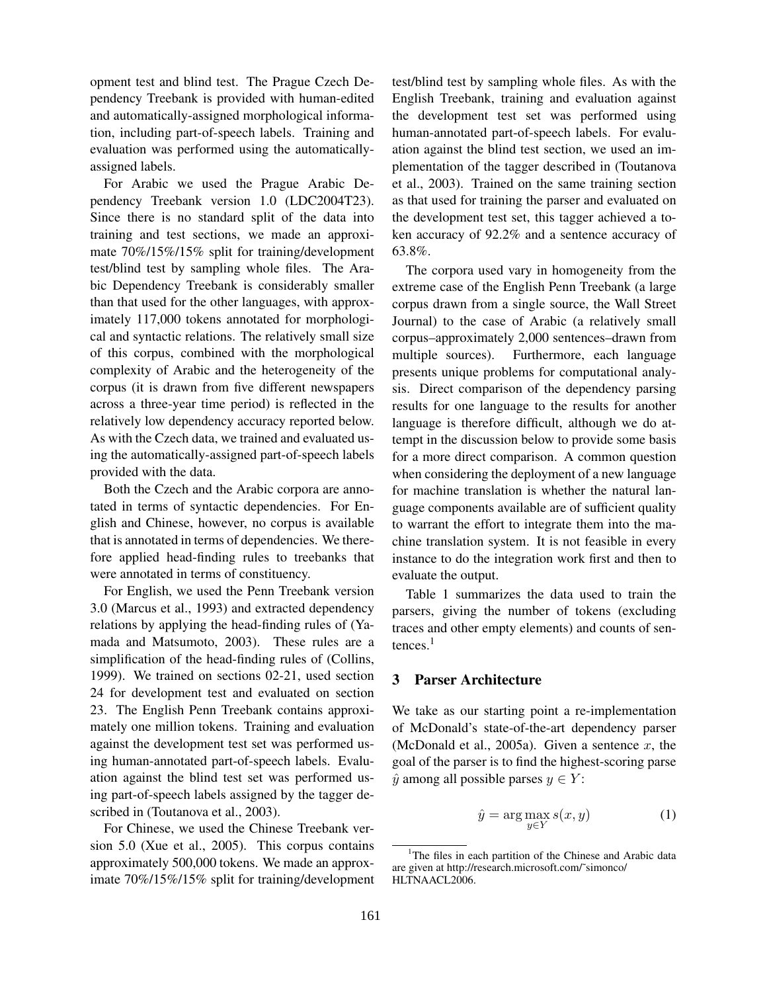opment test and blind test. The Prague Czech Dependency Treebank is provided with human-edited and automatically-assigned morphological information, including part-of-speech labels. Training and evaluation was performed using the automaticallyassigned labels.

For Arabic we used the Prague Arabic Dependency Treebank version 1.0 (LDC2004T23). Since there is no standard split of the data into training and test sections, we made an approximate 70%/15%/15% split for training/development test/blind test by sampling whole files. The Arabic Dependency Treebank is considerably smaller than that used for the other languages, with approximately 117,000 tokens annotated for morphological and syntactic relations. The relatively small size of this corpus, combined with the morphological complexity of Arabic and the heterogeneity of the corpus (it is drawn from five different newspapers across a three-year time period) is reflected in the relatively low dependency accuracy reported below. As with the Czech data, we trained and evaluated using the automatically-assigned part-of-speech labels provided with the data.

Both the Czech and the Arabic corpora are annotated in terms of syntactic dependencies. For English and Chinese, however, no corpus is available that is annotated in terms of dependencies. We therefore applied head-finding rules to treebanks that were annotated in terms of constituency.

For English, we used the Penn Treebank version 3.0 (Marcus et al., 1993) and extracted dependency relations by applying the head-finding rules of (Yamada and Matsumoto, 2003). These rules are a simplification of the head-finding rules of (Collins, 1999). We trained on sections 02-21, used section 24 for development test and evaluated on section 23. The English Penn Treebank contains approximately one million tokens. Training and evaluation against the development test set was performed using human-annotated part-of-speech labels. Evaluation against the blind test set was performed using part-of-speech labels assigned by the tagger described in (Toutanova et al., 2003).

For Chinese, we used the Chinese Treebank version 5.0 (Xue et al., 2005). This corpus contains approximately 500,000 tokens. We made an approximate 70%/15%/15% split for training/development test/blind test by sampling whole files. As with the English Treebank, training and evaluation against the development test set was performed using human-annotated part-of-speech labels. For evaluation against the blind test section, we used an implementation of the tagger described in (Toutanova et al., 2003). Trained on the same training section as that used for training the parser and evaluated on the development test set, this tagger achieved a token accuracy of 92.2% and a sentence accuracy of 63.8%.

The corpora used vary in homogeneity from the extreme case of the English Penn Treebank (a large corpus drawn from a single source, the Wall Street Journal) to the case of Arabic (a relatively small corpus–approximately 2,000 sentences–drawn from multiple sources). Furthermore, each language presents unique problems for computational analysis. Direct comparison of the dependency parsing results for one language to the results for another language is therefore difficult, although we do attempt in the discussion below to provide some basis for a more direct comparison. A common question when considering the deployment of a new language for machine translation is whether the natural language components available are of sufficient quality to warrant the effort to integrate them into the machine translation system. It is not feasible in every instance to do the integration work first and then to evaluate the output.

Table 1 summarizes the data used to train the parsers, giving the number of tokens (excluding traces and other empty elements) and counts of sen $t$ ences.<sup>1</sup>

## 3 Parser Architecture

We take as our starting point a re-implementation of McDonald's state-of-the-art dependency parser (McDonald et al., 2005a). Given a sentence *x*, the goal of the parser is to find the highest-scoring parse  $\hat{y}$  among all possible parses  $y \in Y$ :

$$
\hat{y} = \arg \max_{y \in Y} s(x, y) \tag{1}
$$

<sup>&</sup>lt;sup>1</sup>The files in each partition of the Chinese and Arabic data are given at http://research.microsoft.com/˜simonco/ HLTNAACL2006.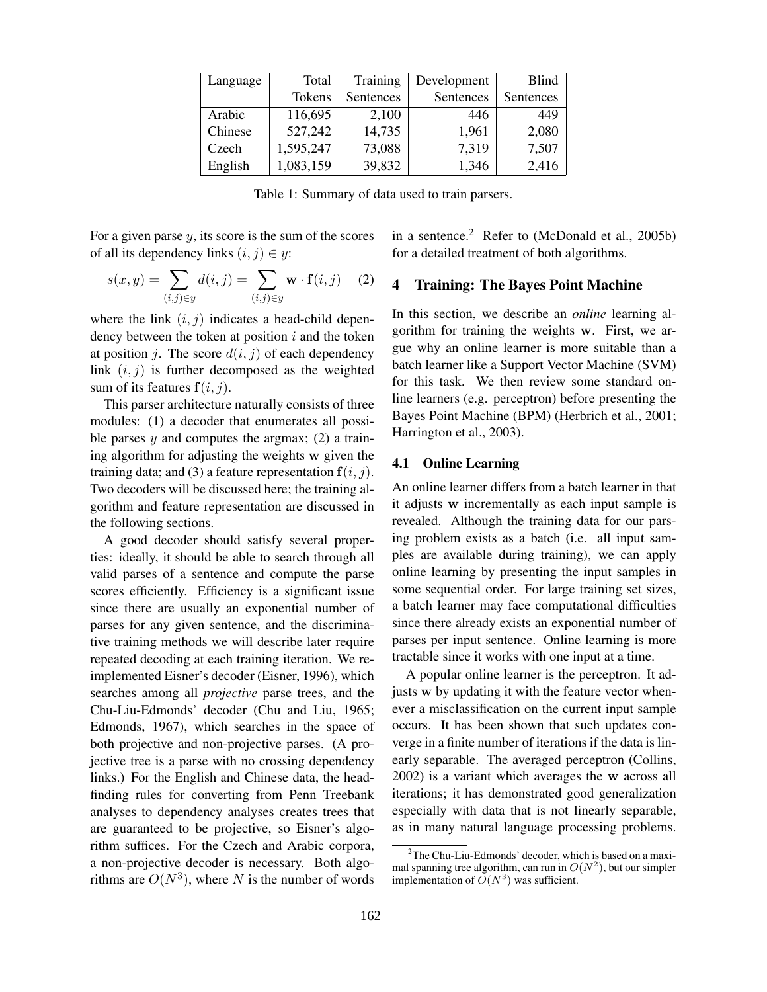| Language | Total         | Training  | Development | <b>Blind</b> |  |
|----------|---------------|-----------|-------------|--------------|--|
|          | <b>Tokens</b> | Sentences | Sentences   | Sentences    |  |
| Arabic   | 116,695       | 2,100     | 446         | 449          |  |
| Chinese  | 527,242       | 14,735    | 1,961       | 2,080        |  |
| Czech    | 1,595,247     | 73,088    | 7,319       | 7,507        |  |
| English  | 1,083,159     | 39,832    | 1,346       | 2,416        |  |

Table 1: Summary of data used to train parsers.

For a given parse  $y$ , its score is the sum of the scores of all its dependency links  $(i, j) \in y$ :

$$
s(x,y) = \sum_{(i,j)\in y} d(i,j) = \sum_{(i,j)\in y} \mathbf{w} \cdot \mathbf{f}(i,j) \quad (2)
$$

where the link  $(i, j)$  indicates a head-child dependency between the token at position *i* and the token at position *j*. The score  $d(i, j)$  of each dependency link  $(i, j)$  is further decomposed as the weighted sum of its features  $f(i, j)$ .

This parser architecture naturally consists of three modules: (1) a decoder that enumerates all possible parses  $y$  and computes the argmax; (2) a training algorithm for adjusting the weights w given the training data; and (3) a feature representation  $f(i, j)$ . Two decoders will be discussed here; the training algorithm and feature representation are discussed in the following sections.

A good decoder should satisfy several properties: ideally, it should be able to search through all valid parses of a sentence and compute the parse scores efficiently. Efficiency is a significant issue since there are usually an exponential number of parses for any given sentence, and the discriminative training methods we will describe later require repeated decoding at each training iteration. We reimplemented Eisner's decoder (Eisner, 1996), which searches among all *projective* parse trees, and the Chu-Liu-Edmonds' decoder (Chu and Liu, 1965; Edmonds, 1967), which searches in the space of both projective and non-projective parses. (A projective tree is a parse with no crossing dependency links.) For the English and Chinese data, the headfinding rules for converting from Penn Treebank analyses to dependency analyses creates trees that are guaranteed to be projective, so Eisner's algorithm suffices. For the Czech and Arabic corpora, a non-projective decoder is necessary. Both algorithms are  $O(N^3)$ , where *N* is the number of words in a sentence. $2$  Refer to (McDonald et al., 2005b) for a detailed treatment of both algorithms.

## 4 Training: The Bayes Point Machine

In this section, we describe an *online* learning algorithm for training the weights w. First, we argue why an online learner is more suitable than a batch learner like a Support Vector Machine (SVM) for this task. We then review some standard online learners (e.g. perceptron) before presenting the Bayes Point Machine (BPM) (Herbrich et al., 2001; Harrington et al., 2003).

## 4.1 Online Learning

An online learner differs from a batch learner in that it adjusts w incrementally as each input sample is revealed. Although the training data for our parsing problem exists as a batch (i.e. all input samples are available during training), we can apply online learning by presenting the input samples in some sequential order. For large training set sizes, a batch learner may face computational difficulties since there already exists an exponential number of parses per input sentence. Online learning is more tractable since it works with one input at a time.

A popular online learner is the perceptron. It adjusts w by updating it with the feature vector whenever a misclassification on the current input sample occurs. It has been shown that such updates converge in a finite number of iterations if the data is linearly separable. The averaged perceptron (Collins, 2002) is a variant which averages the w across all iterations; it has demonstrated good generalization especially with data that is not linearly separable, as in many natural language processing problems.

<sup>&</sup>lt;sup>2</sup>The Chu-Liu-Edmonds' decoder, which is based on a maximal spanning tree algorithm, can run in  $O(N^2)$ , but our simpler implementation of  $\tilde{O}(N^3)$  was sufficient.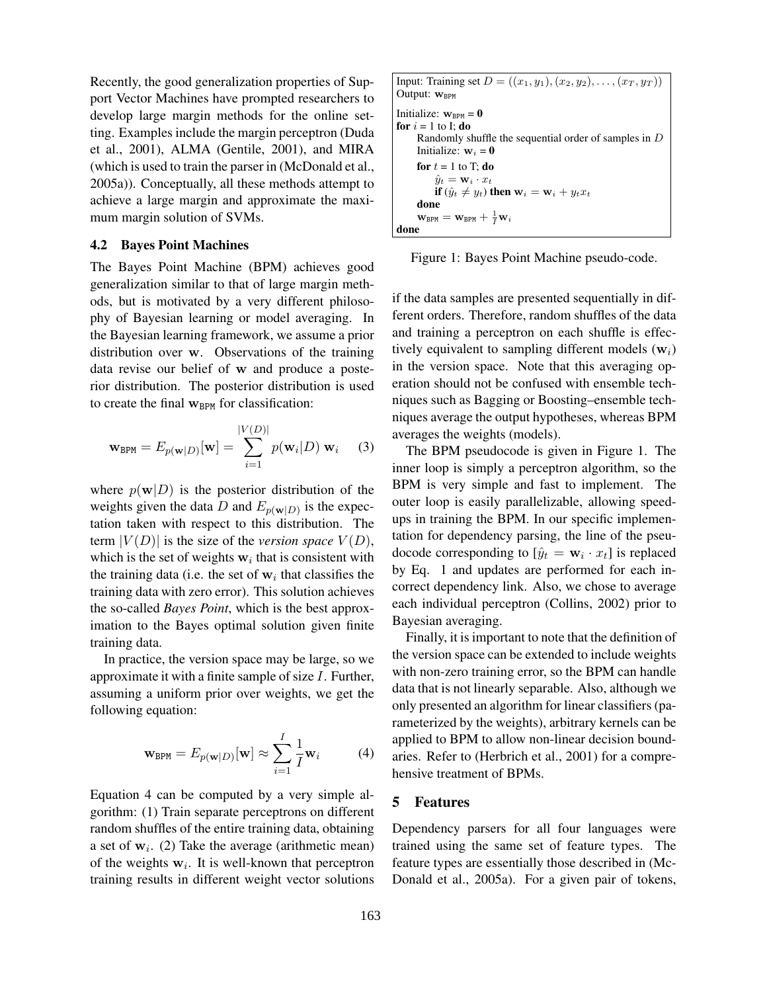Recently, the good generalization properties of Support Vector Machines have prompted researchers to develop large margin methods for the online setting. Examples include the margin perceptron (Duda et al., 2001), ALMA (Gentile, 2001), and MIRA (which is used to train the parser in (McDonald et al., 2005a)). Conceptually, all these methods attempt to achieve a large margin and approximate the maximum margin solution of SVMs.

#### 4.2 Bayes Point Machines

The Bayes Point Machine (BPM) achieves good generalization similar to that of large margin methods, but is motivated by a very different philosophy of Bayesian learning or model averaging. In the Bayesian learning framework, we assume a prior distribution over w. Observations of the training data revise our belief of w and produce a posterior distribution. The posterior distribution is used to create the final  $w_{BPM}$  for classification:

$$
\mathbf{w}_{\text{BPM}} = E_{p(\mathbf{w}|D)}[\mathbf{w}] = \sum_{i=1}^{|V(D)|} p(\mathbf{w}_i|D) \mathbf{w}_i \quad (3)
$$

where  $p(\mathbf{w}|D)$  is the posterior distribution of the weights given the data *D* and  $E_{p(w|D)}$  is the expectation taken with respect to this distribution. The term  $|V(D)|$  is the size of the *version space*  $V(D)$ , which is the set of weights  $w_i$  that is consistent with the training data (i.e. the set of  $w_i$  that classifies the training data with zero error). This solution achieves the so-called *Bayes Point*, which is the best approximation to the Bayes optimal solution given finite training data.

In practice, the version space may be large, so we approximate it with a finite sample of size  $I$ . Further, assuming a uniform prior over weights, we get the following equation:

$$
\mathbf{w}_{\text{BPM}} = E_{p(\mathbf{w}|D)}[\mathbf{w}] \approx \sum_{i=1}^{I} \frac{1}{I} \mathbf{w}_i \tag{4}
$$

Equation 4 can be computed by a very simple algorithm: (1) Train separate perceptrons on different random shuffles of the entire training data, obtaining a set of  $w_i$ . (2) Take the average (arithmetic mean) of the weights  $w_i$ . It is well-known that perceptron training results in different weight vector solutions

Input: Training set 
$$
D = ((x_1, y_1), (x_2, y_2), ..., (x_T, y_T))
$$
  
\nOutput:  $\mathbf{w}_{\text{BPM}}$   
\nInitialize:  $\mathbf{w}_{\text{BPM}} = \mathbf{0}$   
\n**for**  $i = 1$  to I; **do**  
\nRandomly shuffle the sequential order of samples in D  
\nInitialize:  $\mathbf{w}_i = \mathbf{0}$   
\n**for**  $t = 1$  to T; **do**  
\n $\hat{y}_t = \mathbf{w}_i \cdot x_t$   
\n**if**  $(\hat{y}_t \neq y_t)$  **then**  $\mathbf{w}_i = \mathbf{w}_i + y_t x_t$   
\n**done**  
\n $\mathbf{w}_{\text{BPM}} = \mathbf{w}_{\text{BPM}} + \frac{1}{I} \mathbf{w}_i$ 

Figure 1: Bayes Point Machine pseudo-code.

if the data samples are presented sequentially in different orders. Therefore, random shuffles of the data and training a perceptron on each shuffle is effectively equivalent to sampling different models (w*i*) in the version space. Note that this averaging operation should not be confused with ensemble techniques such as Bagging or Boosting–ensemble techniques average the output hypotheses, whereas BPM averages the weights (models).

The BPM pseudocode is given in Figure 1. The inner loop is simply a perceptron algorithm, so the BPM is very simple and fast to implement. The outer loop is easily parallelizable, allowing speedups in training the BPM. In our specific implementation for dependency parsing, the line of the pseudocode corresponding to  $[\hat{y}_t = \mathbf{w}_i \cdot x_t]$  is replaced by Eq. 1 and updates are performed for each incorrect dependency link. Also, we chose to average each individual perceptron (Collins, 2002) prior to Bayesian averaging.

Finally, it is important to note that the definition of the version space can be extended to include weights with non-zero training error, so the BPM can handle data that is not linearly separable. Also, although we only presented an algorithm for linear classifiers(parameterized by the weights), arbitrary kernels can be applied to BPM to allow non-linear decision boundaries. Refer to (Herbrich et al., 2001) for a comprehensive treatment of BPMs.

#### 5 Features

Dependency parsers for all four languages were trained using the same set of feature types. The feature types are essentially those described in (Mc-Donald et al., 2005a). For a given pair of tokens,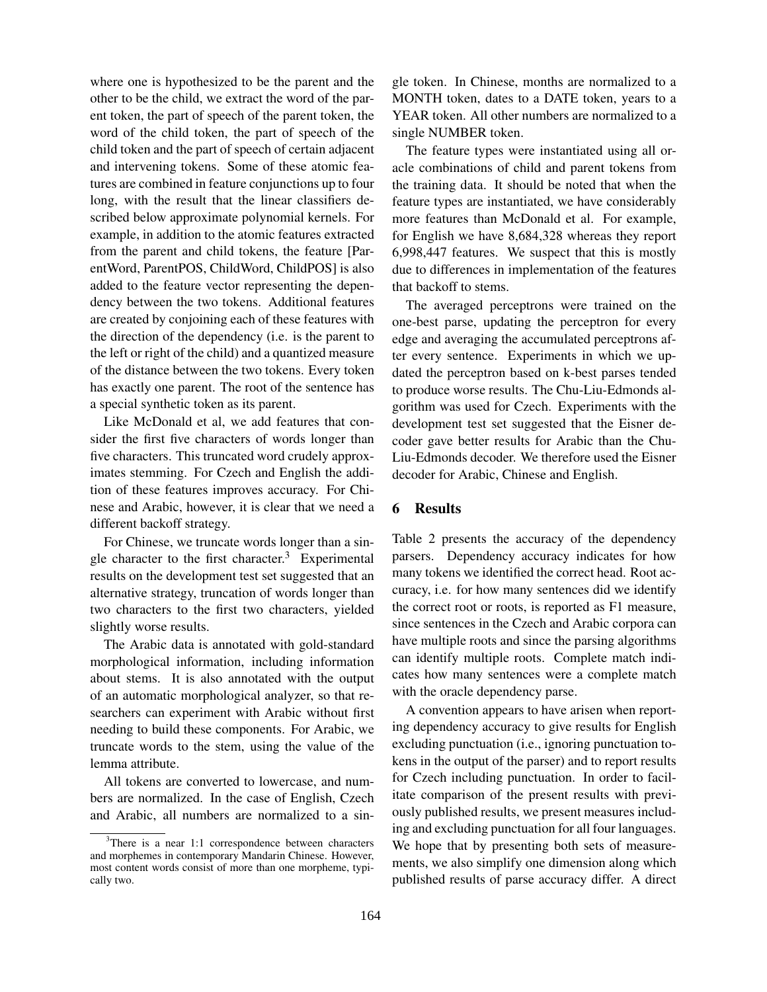where one is hypothesized to be the parent and the other to be the child, we extract the word of the parent token, the part of speech of the parent token, the word of the child token, the part of speech of the child token and the part of speech of certain adjacent and intervening tokens. Some of these atomic features are combined in feature conjunctions up to four long, with the result that the linear classifiers described below approximate polynomial kernels. For example, in addition to the atomic features extracted from the parent and child tokens, the feature [ParentWord, ParentPOS, ChildWord, ChildPOS] is also added to the feature vector representing the dependency between the two tokens. Additional features are created by conjoining each of these features with the direction of the dependency (i.e. is the parent to the left or right of the child) and a quantized measure of the distance between the two tokens. Every token has exactly one parent. The root of the sentence has a special synthetic token as its parent.

Like McDonald et al, we add features that consider the first five characters of words longer than five characters. This truncated word crudely approximates stemming. For Czech and English the addition of these features improves accuracy. For Chinese and Arabic, however, it is clear that we need a different backoff strategy.

For Chinese, we truncate words longer than a single character to the first character.<sup>3</sup> Experimental results on the development test set suggested that an alternative strategy, truncation of words longer than two characters to the first two characters, yielded slightly worse results.

The Arabic data is annotated with gold-standard morphological information, including information about stems. It is also annotated with the output of an automatic morphological analyzer, so that researchers can experiment with Arabic without first needing to build these components. For Arabic, we truncate words to the stem, using the value of the lemma attribute.

All tokens are converted to lowercase, and numbers are normalized. In the case of English, Czech and Arabic, all numbers are normalized to a single token. In Chinese, months are normalized to a MONTH token, dates to a DATE token, years to a YEAR token. All other numbers are normalized to a single NUMBER token.

The feature types were instantiated using all oracle combinations of child and parent tokens from the training data. It should be noted that when the feature types are instantiated, we have considerably more features than McDonald et al. For example, for English we have 8,684,328 whereas they report 6,998,447 features. We suspect that this is mostly due to differences in implementation of the features that backoff to stems.

The averaged perceptrons were trained on the one-best parse, updating the perceptron for every edge and averaging the accumulated perceptrons after every sentence. Experiments in which we updated the perceptron based on k-best parses tended to produce worse results. The Chu-Liu-Edmonds algorithm was used for Czech. Experiments with the development test set suggested that the Eisner decoder gave better results for Arabic than the Chu-Liu-Edmonds decoder. We therefore used the Eisner decoder for Arabic, Chinese and English.

#### 6 Results

Table 2 presents the accuracy of the dependency parsers. Dependency accuracy indicates for how many tokens we identified the correct head. Root accuracy, i.e. for how many sentences did we identify the correct root or roots, is reported as F1 measure, since sentences in the Czech and Arabic corpora can have multiple roots and since the parsing algorithms can identify multiple roots. Complete match indicates how many sentences were a complete match with the oracle dependency parse.

A convention appears to have arisen when reporting dependency accuracy to give results for English excluding punctuation (i.e., ignoring punctuation tokens in the output of the parser) and to report results for Czech including punctuation. In order to facilitate comparison of the present results with previously published results, we present measures including and excluding punctuation for all four languages. We hope that by presenting both sets of measurements, we also simplify one dimension along which published results of parse accuracy differ. A direct

<sup>&</sup>lt;sup>3</sup>There is a near 1:1 correspondence between characters and morphemes in contemporary Mandarin Chinese. However, most content words consist of more than one morpheme, typically two.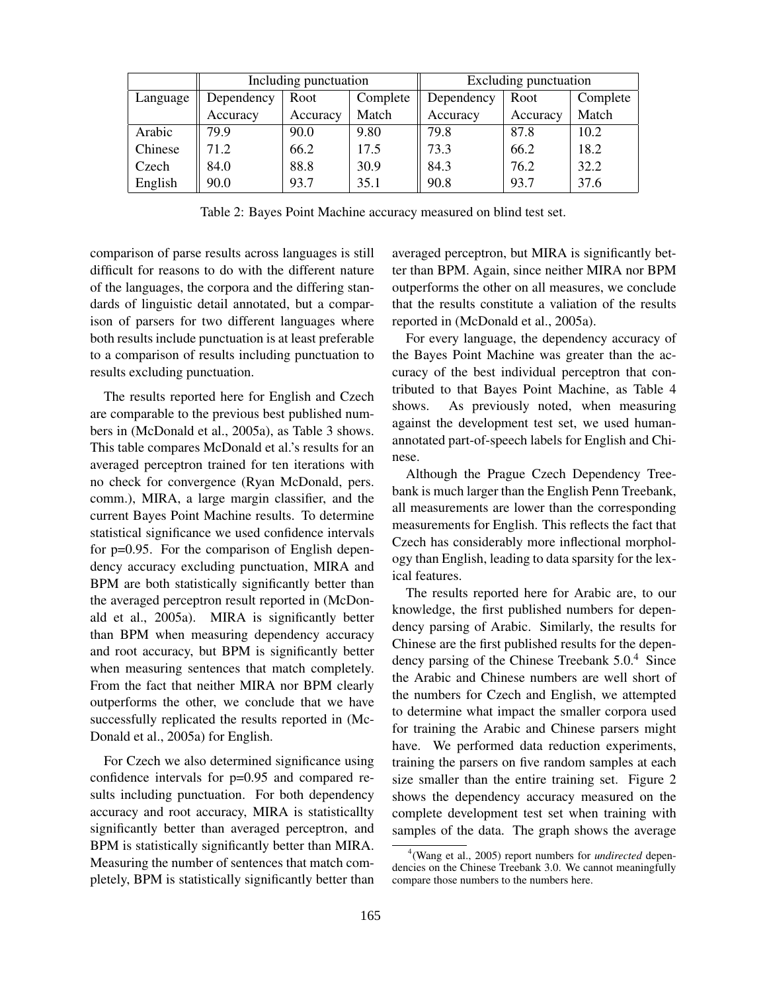|          | Including punctuation |          | Excluding punctuation |            |          |          |
|----------|-----------------------|----------|-----------------------|------------|----------|----------|
| Language | Dependency            | Root     | Complete              | Dependency | Root     | Complete |
|          | Accuracy              | Accuracy | Match                 | Accuracy   | Accuracy | Match    |
| Arabic   | 79.9                  | 90.0     | 9.80                  | 79.8       | 87.8     | 10.2     |
| Chinese  | 71.2                  | 66.2     | 17.5                  | 73.3       | 66.2     | 18.2     |
| Czech    | 84.0                  | 88.8     | 30.9                  | 84.3       | 76.2     | 32.2     |
| English  | 90.0                  | 93.7     | 35.1                  | 90.8       | 93.7     | 37.6     |

Table 2: Bayes Point Machine accuracy measured on blind test set.

comparison of parse results across languages is still difficult for reasons to do with the different nature of the languages, the corpora and the differing standards of linguistic detail annotated, but a comparison of parsers for two different languages where both results include punctuation is at least preferable to a comparison of results including punctuation to results excluding punctuation.

The results reported here for English and Czech are comparable to the previous best published numbers in (McDonald et al., 2005a), as Table 3 shows. This table compares McDonald et al.'s results for an averaged perceptron trained for ten iterations with no check for convergence (Ryan McDonald, pers. comm.), MIRA, a large margin classifier, and the current Bayes Point Machine results. To determine statistical significance we used confidence intervals for p=0.95. For the comparison of English dependency accuracy excluding punctuation, MIRA and BPM are both statistically significantly better than the averaged perceptron result reported in (McDonald et al., 2005a). MIRA is significantly better than BPM when measuring dependency accuracy and root accuracy, but BPM is significantly better when measuring sentences that match completely. From the fact that neither MIRA nor BPM clearly outperforms the other, we conclude that we have successfully replicated the results reported in (Mc-Donald et al., 2005a) for English.

For Czech we also determined significance using confidence intervals for p=0.95 and compared results including punctuation. For both dependency accuracy and root accuracy, MIRA is statisticallty significantly better than averaged perceptron, and BPM is statistically significantly better than MIRA. Measuring the number of sentences that match completely, BPM is statistically significantly better than averaged perceptron, but MIRA is significantly better than BPM. Again, since neither MIRA nor BPM outperforms the other on all measures, we conclude that the results constitute a valiation of the results reported in (McDonald et al., 2005a).

For every language, the dependency accuracy of the Bayes Point Machine was greater than the accuracy of the best individual perceptron that contributed to that Bayes Point Machine, as Table 4 shows. As previously noted, when measuring against the development test set, we used humanannotated part-of-speech labels for English and Chinese.

Although the Prague Czech Dependency Treebank is much larger than the English Penn Treebank, all measurements are lower than the corresponding measurements for English. This reflects the fact that Czech has considerably more inflectional morphology than English, leading to data sparsity for the lexical features.

The results reported here for Arabic are, to our knowledge, the first published numbers for dependency parsing of Arabic. Similarly, the results for Chinese are the first published results for the dependency parsing of the Chinese Treebank 5.0.<sup>4</sup> Since the Arabic and Chinese numbers are well short of the numbers for Czech and English, we attempted to determine what impact the smaller corpora used for training the Arabic and Chinese parsers might have. We performed data reduction experiments, training the parsers on five random samples at each size smaller than the entire training set. Figure 2 shows the dependency accuracy measured on the complete development test set when training with samples of the data. The graph shows the average

<sup>4</sup> (Wang et al., 2005) report numbers for *undirected* dependencies on the Chinese Treebank 3.0. We cannot meaningfully compare those numbers to the numbers here.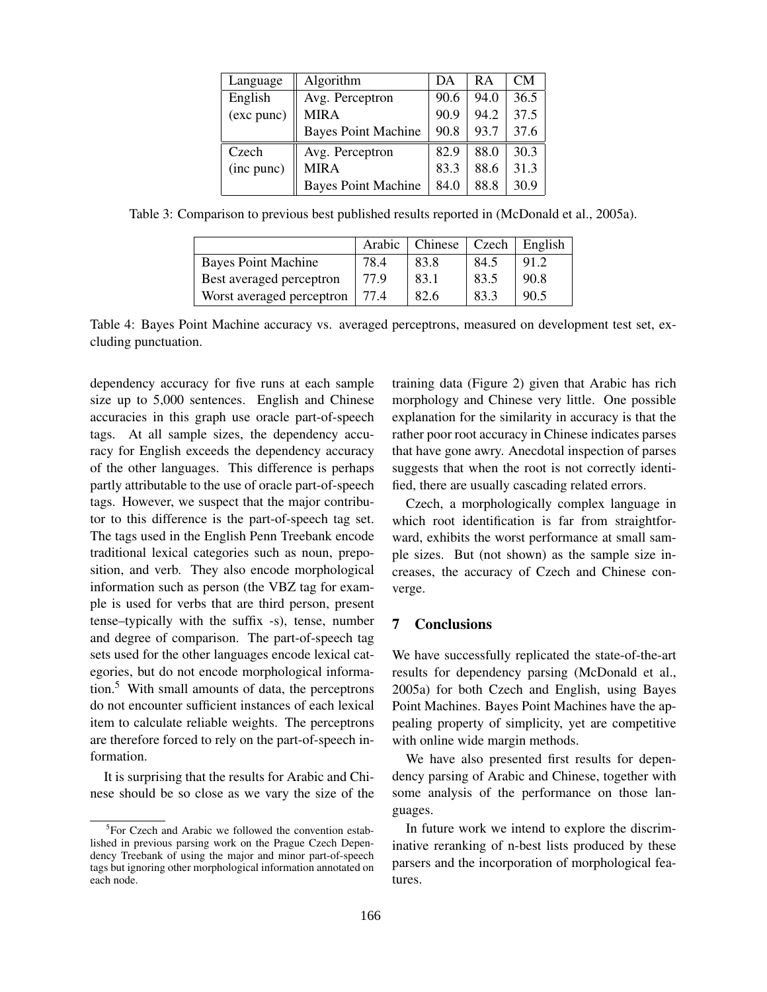| Language   | Algorithm                  | DА   | R A  | <b>CM</b> |
|------------|----------------------------|------|------|-----------|
| English    | Avg. Perceptron            | 90.6 | 94.0 | 36.5      |
| (exc punc) | <b>MIRA</b>                | 90.9 | 94.2 | 37.5      |
|            | <b>Bayes Point Machine</b> | 90.8 | 93.7 | 37.6      |
| Czech      | Avg. Perceptron            | 82.9 | 88.0 | 30.3      |
| (inc punc) | <b>MIRA</b>                | 83.3 | 88.6 | 31.3      |
|            | <b>Bayes Point Machine</b> | 84.0 | 88.8 | 30.9      |

Table 3: Comparison to previous best published results reported in (McDonald et al., 2005a).

|                            | Arabic | Chinese | Czech | English |
|----------------------------|--------|---------|-------|---------|
| <b>Bayes Point Machine</b> | 78.4   | 83.8    | 84.5  | 91.2    |
| Best averaged perceptron   | 77.9   | 83.1    | 83.5  | 90.8    |
| Worst averaged perceptron  | 77.4   | 82.6    | 83.3  | 90.5    |

Table 4: Bayes Point Machine accuracy vs. averaged perceptrons, measured on development test set, excluding punctuation.

dependency accuracy for five runs at each sample size up to 5,000 sentences. English and Chinese accuracies in this graph use oracle part-of-speech tags. At all sample sizes, the dependency accuracy for English exceeds the dependency accuracy of the other languages. This difference is perhaps partly attributable to the use of oracle part-of-speech tags. However, we suspect that the major contributor to this difference is the part-of-speech tag set. The tags used in the English Penn Treebank encode traditional lexical categories such as noun, preposition, and verb. They also encode morphological information such as person (the VBZ tag for example is used for verbs that are third person, present tense–typically with the suffix -s), tense, number and degree of comparison. The part-of-speech tag sets used for the other languages encode lexical categories, but do not encode morphological information.5 With small amounts of data, the perceptrons do not encounter sufficient instances of each lexical item to calculate reliable weights. The perceptrons are therefore forced to rely on the part-of-speech information.

It is surprising that the results for Arabic and Chinese should be so close as we vary the size of the training data (Figure 2) given that Arabic has rich morphology and Chinese very little. One possible explanation for the similarity in accuracy is that the rather poor root accuracy in Chinese indicates parses that have gone awry. Anecdotal inspection of parses suggests that when the root is not correctly identified, there are usually cascading related errors.

Czech, a morphologically complex language in which root identification is far from straightforward, exhibits the worst performance at small sample sizes. But (not shown) as the sample size increases, the accuracy of Czech and Chinese converge.

### 7 Conclusions

We have successfully replicated the state-of-the-art results for dependency parsing (McDonald et al., 2005a) for both Czech and English, using Bayes Point Machines. Bayes Point Machines have the appealing property of simplicity, yet are competitive with online wide margin methods.

We have also presented first results for dependency parsing of Arabic and Chinese, together with some analysis of the performance on those languages.

In future work we intend to explore the discriminative reranking of n-best lists produced by these parsers and the incorporation of morphological features.

<sup>&</sup>lt;sup>5</sup>For Czech and Arabic we followed the convention established in previous parsing work on the Prague Czech Dependency Treebank of using the major and minor part-of-speech tags but ignoring other morphological information annotated on each node.